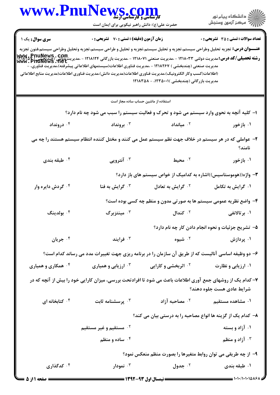|                                                                                                                                                                                                                                                                                                                                                                                                                                                                                                                                                                                                                                             | www.PnuNews.com                                                                                            |                                                                    |                                                    |  |  |
|---------------------------------------------------------------------------------------------------------------------------------------------------------------------------------------------------------------------------------------------------------------------------------------------------------------------------------------------------------------------------------------------------------------------------------------------------------------------------------------------------------------------------------------------------------------------------------------------------------------------------------------------|------------------------------------------------------------------------------------------------------------|--------------------------------------------------------------------|----------------------------------------------------|--|--|
|                                                                                                                                                                                                                                                                                                                                                                                                                                                                                                                                                                                                                                             | حضرت علی(ع): دانش راهبر نیکویی برای ایمان است                                                              |                                                                    | الار دانشگاه پيام نور<br>الارا مرکز آزمون وسنجش    |  |  |
| سری سوال : یک ۱                                                                                                                                                                                                                                                                                                                                                                                                                                                                                                                                                                                                                             | زمان آزمون (دقیقه) : تستی : 70 ٪ تشریحی : 0                                                                |                                                                    | <b>تعداد سوالات : تستي : 35 ٪ تشريحي : 0</b>       |  |  |
| <b>عنـــوان درس:</b> تجزيه تحليل وطراحى سيستم،تجزيه و تحليل سيستم،تجزيه و تحليل و طراحى سيستم،تجزيه وتحليل وطراحى سيستم،فنون تجزيه<br>رشته تحصیلی/کد درس:مدیریت دولتی ۱۲۱۸۰۳۳ - ،مدیریت صنعتی ۱۲۱۸۰۷۱ - ،مدیریت بازرگانی ۱۲۱۸۱۲۴ - ،مدیریت پیچاسی که<br>۱۳۱۸۰۳۳ - ۱۳۱۸۰۳۳ - ۱۳۱۸۰۳۳ - ۱۳۸۰۷۱ - ،مدیریت صنعتی ۱۲۱۸۰۷۱ - ،مدیریت بازرگانی ۱۲۱۸۱۲۴ - ،مدیریت کهای ۱۳۵۲ که<br>مدیریت صنعتی (چندبخشی ) ۱۲۱۸۲۶۷ - ،مدیریت فناوری اطلاعات(سیستمهای اطلاعاتی پیشرفته)،مدیریت فناوری، -<br>(اطلاعات(کسب وکار الکترونیک)،مدیریت فناوری اطلاعات(مدیریت دانش)،مدیریت فناوری اطلاعات(مدیریت منابع اطلاعاتی<br>مدیریت بازرگانی (چندبخشی )۲۲۵۰۰۱ - ۱۲۱۸۳۵۸ |                                                                                                            |                                                                    |                                                    |  |  |
|                                                                                                                                                                                                                                                                                                                                                                                                                                                                                                                                                                                                                                             | استفاده از ماشین حساب ساده مجاز است                                                                        |                                                                    |                                                    |  |  |
|                                                                                                                                                                                                                                                                                                                                                                                                                                                                                                                                                                                                                                             | ۱– کلیه آنچه به نحوی وارد سیستم می شود و تحرک و فعالیت سیستم را سبب می شود چه نام دارد؟                    |                                                                    |                                                    |  |  |
| درونداد $\cdot$ ۴                                                                                                                                                                                                                                                                                                                                                                                                                                                                                                                                                                                                                           | برونداد $\cdot$                                                                                            | $\cdot$ ۸۰ میانداد                                                 | ۰۱ بازخور                                          |  |  |
|                                                                                                                                                                                                                                                                                                                                                                                                                                                                                                                                                                                                                                             | ۲– عواملی که در هر سیستم در خلاف جهت نظم سیستم عمل می کنند و مختل کننده انتظام سیستم هستند را چه می        |                                                                    | نامند؟                                             |  |  |
| طبقه بندی $\cdot$ ۴                                                                                                                                                                                                                                                                                                                                                                                                                                                                                                                                                                                                                         | آنتروپی $\cdot$                                                                                            | ۰۲ محیط                                                            | ۰۱ بازخور                                          |  |  |
|                                                                                                                                                                                                                                                                                                                                                                                                                                                                                                                                                                                                                                             |                                                                                                            | ۳- واژه((هوموستاسیس))اشاره به کدامیک از خواص سیستم های باز دارد؟   |                                                    |  |  |
| گردش دايره وار $\cdot^{\mathfrak k}$                                                                                                                                                                                                                                                                                                                                                                                                                                                                                                                                                                                                        | ۰۳ گرایش به فنا                                                                                            | ۰ <sup>۲</sup> گرایش به تعادل                                      | ۰۱ گرایش به تکامل                                  |  |  |
|                                                                                                                                                                                                                                                                                                                                                                                                                                                                                                                                                                                                                                             |                                                                                                            | ۴- واضع نظریه عمومی سیستم ها به صورتی مدون و منظم چه کسی بوده است؟ |                                                    |  |  |
| ۰۴ بولدينگ                                                                                                                                                                                                                                                                                                                                                                                                                                                                                                                                                                                                                                  | ۰ <sup>۳</sup> مینتزبرگ                                                                                    | ۰۲ کندال                                                           | ۰۱ برتالانفی                                       |  |  |
|                                                                                                                                                                                                                                                                                                                                                                                                                                                                                                                                                                                                                                             |                                                                                                            |                                                                    | ۵- تشریح جزئیات و نحوه انجام دادن کار چه نام دارد؟ |  |  |
| ۰۴ جریان                                                                                                                                                                                                                                                                                                                                                                                                                                                                                                                                                                                                                                    | فرايند $\cdot$                                                                                             | ۰ <sup>۲</sup> شیوه                                                | ۰۱ پردازش                                          |  |  |
|                                                                                                                                                                                                                                                                                                                                                                                                                                                                                                                                                                                                                                             | ۶- دو وظیفه اساسی آنالیست که از طریق آن سازمان را در برنامه ریزی جهت تغییرات مدد می رساند کدام است؟        |                                                                    |                                                    |  |  |
| ۰۴ همکاری و همیاری                                                                                                                                                                                                                                                                                                                                                                                                                                                                                                                                                                                                                          | ۰۳ ارزیابی و همیاری                                                                                        | <b>گ اثربخشی و کارایی</b>                                          | ۰۱ ارزیابی و نظارت                                 |  |  |
|                                                                                                                                                                                                                                                                                                                                                                                                                                                                                                                                                                                                                                             | ۷- کدام یک از روشهای جمع آوری اطلاعات باعث می شود تا افرادتحت بررسی، میزان کارایی خود را بیش از آنچه که در |                                                                    | شرايط عادى هست جلوه دهند؟                          |  |  |
| کتابخانه ای $\cdot$ ۴                                                                                                                                                                                                                                                                                                                                                                                                                                                                                                                                                                                                                       | برسشنامه ثابت $\cdot$                                                                                      | مصاحبه آزاد $\cdot$ ۲                                              | ۰۱ مشاهده مستقیم                                   |  |  |
|                                                                                                                                                                                                                                                                                                                                                                                                                                                                                                                                                                                                                                             |                                                                                                            | ۸– کدام یک از گزینه ها انواع مصاحبه را به درستی بیان می کند؟       |                                                    |  |  |
|                                                                                                                                                                                                                                                                                                                                                                                                                                                                                                                                                                                                                                             | ۰۲ مستقیم و غیر مستقیم                                                                                     |                                                                    | ۰۱ آزاد و بسته                                     |  |  |
|                                                                                                                                                                                                                                                                                                                                                                                                                                                                                                                                                                                                                                             | ۰۴ ساده و منظم                                                                                             |                                                                    | ۰ <sup>۳</sup> آزاد و منظم                         |  |  |
|                                                                                                                                                                                                                                                                                                                                                                                                                                                                                                                                                                                                                                             |                                                                                                            | ۹- از چه طریقی می توان روابط متغیرها را بصورت منظم منعکس نمود؟     |                                                    |  |  |
| ۰۴ کدگذاری                                                                                                                                                                                                                                                                                                                                                                                                                                                                                                                                                                                                                                  | نمودار $\cdot$ ۳                                                                                           | ۰۲ جدول                                                            | ۰۱ طبقه بندی                                       |  |  |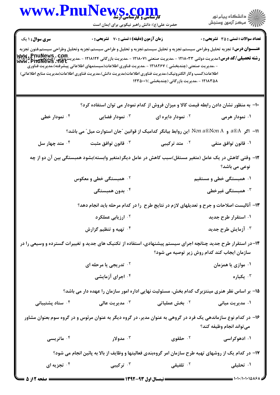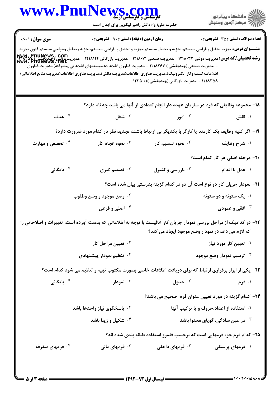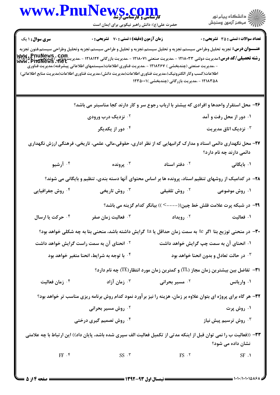| <b>WWW.FNUIN</b>                                                                                                                                                      | <b>VS. COM</b><br>حضرت علی(ع): دانش راهبر نیکویی برای ایمان است                                                                                                                                                                                                                                                                                           |                                                                                 | ِ<br>∭ دانشڪاه پيام نور<br>∭ مرڪز آزمون وسنڊش    |
|-----------------------------------------------------------------------------------------------------------------------------------------------------------------------|-----------------------------------------------------------------------------------------------------------------------------------------------------------------------------------------------------------------------------------------------------------------------------------------------------------------------------------------------------------|---------------------------------------------------------------------------------|--------------------------------------------------|
| <b>سری سوال :</b> ۱ یک                                                                                                                                                | <b>زمان آزمون (دقیقه) : تستی : 70 گشریحی : 0</b>                                                                                                                                                                                                                                                                                                          |                                                                                 | <b>تعداد سوالات : تستي : 35 ٪ تشريحي : 0</b>     |
| <b>رشته تحصیلی/کد درس: مدیریت دولتی ۱۲۱۸۰۳۳ - مدیریت صنعتی ۱۲۱۸۰۷۱ - مدیریت بازرگانی ۱۲۱۸۱۲۴ - مدیریت یو ۱۳۷۷۵ کو<br/>WWW . PnuNews . net<br/>WWW . PnuNews . net</b> | <b>عنـــوان درس:</b> تجزيه تحليل وطراحى سيستم،تجزيه و تحليل سيستم،تجزيه و تحليل و طراحى سيستم،تجزيه وتحليل وطراحى سيستم،فنون تجزيه<br>- ،مدیریت صنعتی (چندبخشی ) ۱۲۱۸۲۶۷ - ،مدیریت فناوری اطلاعات(سیستمهای اطلاعاتی پیشرفته)،مدیریت فناوری<br>اطلاعات(کسب وکار الکترونیک)،مدیریت فناوری اطلاعات(مدیریت دانش)،مدیریت فناوری اطلاعات(مدیریت منابع اطلاعاتی) | ۱۲۱۸۳۵۸ - ،مدیریت بازرگانی (چندبخشی )۲۳۵۰۰۱                                     |                                                  |
|                                                                                                                                                                       | ۲۶- محل استقرار واحدها و افرادی که بیشتر با ارباب رجوع سر و کار دارند کجا مناسبتر می باشد؟                                                                                                                                                                                                                                                                |                                                                                 |                                                  |
|                                                                                                                                                                       | ۰۲ نزدیک درب ورودی                                                                                                                                                                                                                                                                                                                                        |                                                                                 | ۰۱ دور از محل رفت و آمد                          |
|                                                                                                                                                                       | ۰۴ دور از یکدیگر                                                                                                                                                                                                                                                                                                                                          |                                                                                 | نزدیک اتاق مدیریت $\cdot$ ۳                      |
|                                                                                                                                                                       | ۲۷- محل نگهداری دائمی اسناد و مدارک گرانبهایی که از نظر اداری، حقوقی،مالی، علمی، تاریخی، فرهنگی ارزش نگهداری                                                                                                                                                                                                                                              |                                                                                 | دائمی دارند چه نام دارد؟                         |
| ۰۴ آرشیو                                                                                                                                                              | برونده $\cdot^{\mathsf{r}}$                                                                                                                                                                                                                                                                                                                               | ۰ <sup>۲</sup> دفتر اسناد                                                       | ۰۱ بایگانی                                       |
|                                                                                                                                                                       | ۲۸– در کدامیک از روشهای تنظیم اسناد، پرونده ها بر اساس محتوای آنها دسته بندی، تنظیم و بایگانی می شوند؟                                                                                                                                                                                                                                                    |                                                                                 |                                                  |
| ۰ <sup>۴</sup> روش جغرافیایی                                                                                                                                          | ۰ <sup>۳</sup> روش تاریخی                                                                                                                                                                                                                                                                                                                                 | ۰ <sup>۲</sup> روش تلفیقی                                                       | ۰۱ روش موضوعی                                    |
|                                                                                                                                                                       |                                                                                                                                                                                                                                                                                                                                                           | <b>۲۹</b> - در شبکه پرت علامت فلش خط چین((----> )) بیانگر کدام گزینه می باشد؟   |                                                  |
| ۰۴ حرکت یا ارسال                                                                                                                                                      | فعاليت زمان صفر $\cdot$ "                                                                                                                                                                                                                                                                                                                                 |                                                                                 | ۰۱ فعالیت میسی تا ایروپداد و بین است.<br>ا       |
|                                                                                                                                                                       | ۳۰− در منحنی توزیع بتا اگر te به سمت زمان حداقل یا ta گرایش داشته باشد، منحنی بتا به چه شکلی خواهد بود؟                                                                                                                                                                                                                                                   |                                                                                 |                                                  |
|                                                                                                                                                                       | <sup>۲</sup> ۰ انحنای آن به سمت راست گرایش خواهد داشت                                                                                                                                                                                                                                                                                                     |                                                                                 | ۰۱ انحنای آن به سمت چپ گرایش خواهد داشت          |
|                                                                                                                                                                       | ۰۴ با توجه به شرایط، انحنا متغیر خواهد بود                                                                                                                                                                                                                                                                                                                |                                                                                 | ۰۳ در حالت تعادل و بدون انحنا خواهد بود          |
|                                                                                                                                                                       |                                                                                                                                                                                                                                                                                                                                                           | ا۳− تفاضل بین بیشترین زمان مجاز (IL) و کمترین زمان مورد انتظار(IE) چه نام دارد؟ |                                                  |
| ۰۴ زمان فعالیت                                                                                                                                                        | ۰۳ زمان آزاد                                                                                                                                                                                                                                                                                                                                              | ۰۲ مسیر بحرانی                                                                  | ۰۱ واریانس                                       |
|                                                                                                                                                                       | 33- هر گاه برای پروژه ای بتوان علاوه بر زمان، هزینه را نیز بر آورد نمود کدام روش برنامه ریزی مناسب تر خواهد بود؟                                                                                                                                                                                                                                          |                                                                                 |                                                  |
|                                                                                                                                                                       | <sup>۲</sup> ۰ روش مسیر بحرانی                                                                                                                                                                                                                                                                                                                            |                                                                                 | ۰۱ روش پرت                                       |
|                                                                                                                                                                       | ۰ <sup>۴</sup> روش تصمیم گیری درختی                                                                                                                                                                                                                                                                                                                       |                                                                                 | روش ترسیم پیش نیاز $\cdot^{\mathsf{\texttt{w}}}$ |
|                                                                                                                                                                       | ۳۳– ((فعالیت ب را نمی توان قبل از اینکه مدتی از تکمیل فعالیت الف سپری شده باشد، پایان داد)) این ارتباط با چه علامتی                                                                                                                                                                                                                                       |                                                                                 | نشان داده می شود؟                                |
| FF.                                                                                                                                                                   | $SS \cdot \tau$                                                                                                                                                                                                                                                                                                                                           | FS.7                                                                            | $SF \cdot 1$                                     |

**TY**